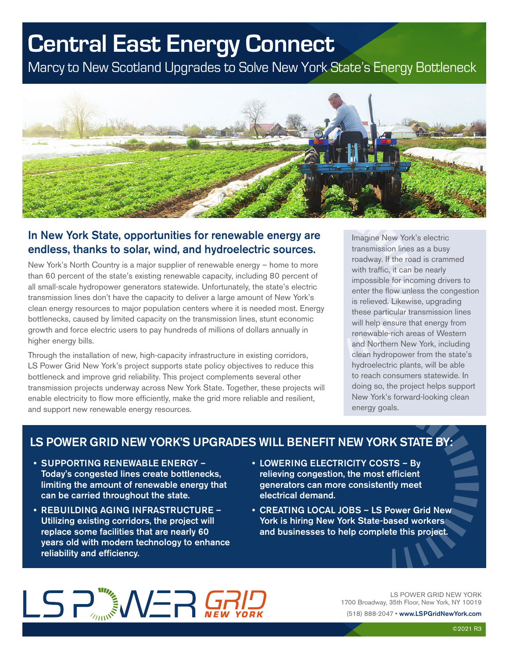## **Central East Energy Connect**

Marcy to New Scotland Upgrades to Solve New York State's Energy Bottleneck



#### In New York State, opportunities for renewable energy are endless, thanks to solar, wind, and hydroelectric sources.

New York's North Country is a major supplier of renewable energy – home to more than 60 percent of the state's existing renewable capacity, including 80 percent of all small-scale hydropower generators statewide. Unfortunately, the state's electric transmission lines don't have the capacity to deliver a large amount of New York's clean energy resources to major population centers where it is needed most. Energy bottlenecks, caused by limited capacity on the transmission lines, stunt economic growth and force electric users to pay hundreds of millions of dollars annually in higher energy bills.

Through the installation of new, high-capacity infrastructure in existing corridors, LS Power Grid New York's project supports state policy objectives to reduce this bottleneck and improve grid reliability. This project complements several other transmission projects underway across New York State. Together, these projects will enable electricity to flow more efficiently, make the grid more reliable and resilient, and support new renewable energy resources.

Imagine New York's electric transmission lines as a busy roadway. If the road is crammed with traffic, it can be nearly impossible for incoming drivers to enter the flow unless the congestion is relieved. Likewise, upgrading these particular transmission lines will help ensure that energy from renewable-rich areas of Western and Northern New York, including clean hydropower from the state's hydroelectric plants, will be able to reach consumers statewide. In doing so, the project helps support New York's forward-looking clean energy goals.

#### LS POWER GRID NEW YORK'S UPGRADES WILL BENEFIT NEW YORK STATE BY:

- SUPPORTING RENEWABLE ENERGY Today's congested lines create bottlenecks, limiting the amount of renewable energy that can be carried throughout the state.
- REBUILDING AGING INFRASTRUCTURE Utilizing existing corridors, the project will replace some facilities that are nearly 60 years old with modern technology to enhance reliability and efficiency.
- LOWERING ELECTRICITY COSTS By relieving congestion, the most efficient generators can more consistently meet electrical demand.
- CREATING LOCAL JOBS LS Power Grid New York is hiring New York State-based workers and businesses to help complete this project.

# LS PARANET

LS POWER GRID NEW YORK 1700 Broadway, 35th Floor, New York, NY 10019

(518) 888-2047 • www.LSPGridNewYork.com